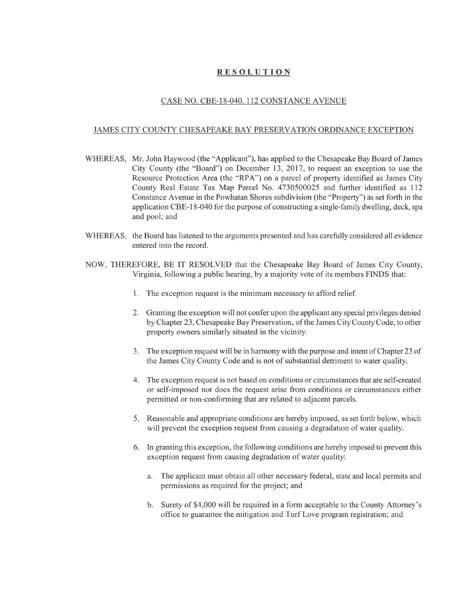## RESOLUTION

## CASE NO. CBE-18-040. 112 CONSTANCE AVENUE

## JAMES CITY COUNTY CHESAPEAKE BAY PRESERVATION ORDINANCE EXCEPTION

- WHEREAS, Mr. John Haywood (the "Applicant"), has applied to the Chesapeake Bay Board of James City County (the "Board") on December 13, 2017, to request an exception to use the Resource Protection Area (the "RPA") on a parcel of property identified as James City County Real Estate Tax Map Parcel No. 4730500025 and further identified as 112 Constance Avenue in the Powhatan Shores subdivision (the "Property") as set forth in the application CBE-18-040 for the purpose of constructing a single-family dwelling, deck, spa and pool; and
- WHEREAS, the Board has listened to the arguments presented and has carefully considered all evidence entered into the record.
- NOW, THEREFORE, BE IT RESOLVED that the Chesapeake Bay Board of James City County, Virginia, following a public hearing, by a majority vote of its members FINDS that:
	- 1. The exception request is the minimum necessary to afford relief.
	- 2. Granting the exception will not confer upon the applicant any special privileges denied by Chapter 23, Chesapeake Bay Preservation, of the James City County Code, to other property owners similarly situated in the vicinity.
	- 3. The exception request will be in harmony with the purpose and intent of Chapter 23 of the James City County Code and is not of substantial detriment to water quality.
	- 4. The exception request is not based on conditions or circumstances that are self-created or self-imposed nor does the request arise from conditions or circumstances either permitted or non-conforming that are related to adjacent parcels.
	- 5. Reasonable and appropriate conditions are hereby imposed, as set forth below, which will prevent the exception request from causing a degradation of water quality.
	- 6. In granting this exception, the following conditions are hereby imposed to prevent this exception request from causing degradation of water quality:
		- a. The applicant must obtain all other necessary federal, state and local permits and permissions as required for the project; and
		- b. Surety of \$4,000 will be required in a form acceptable to the County Attorney's office to guarantee the mitigation and Turf Love program registration; and